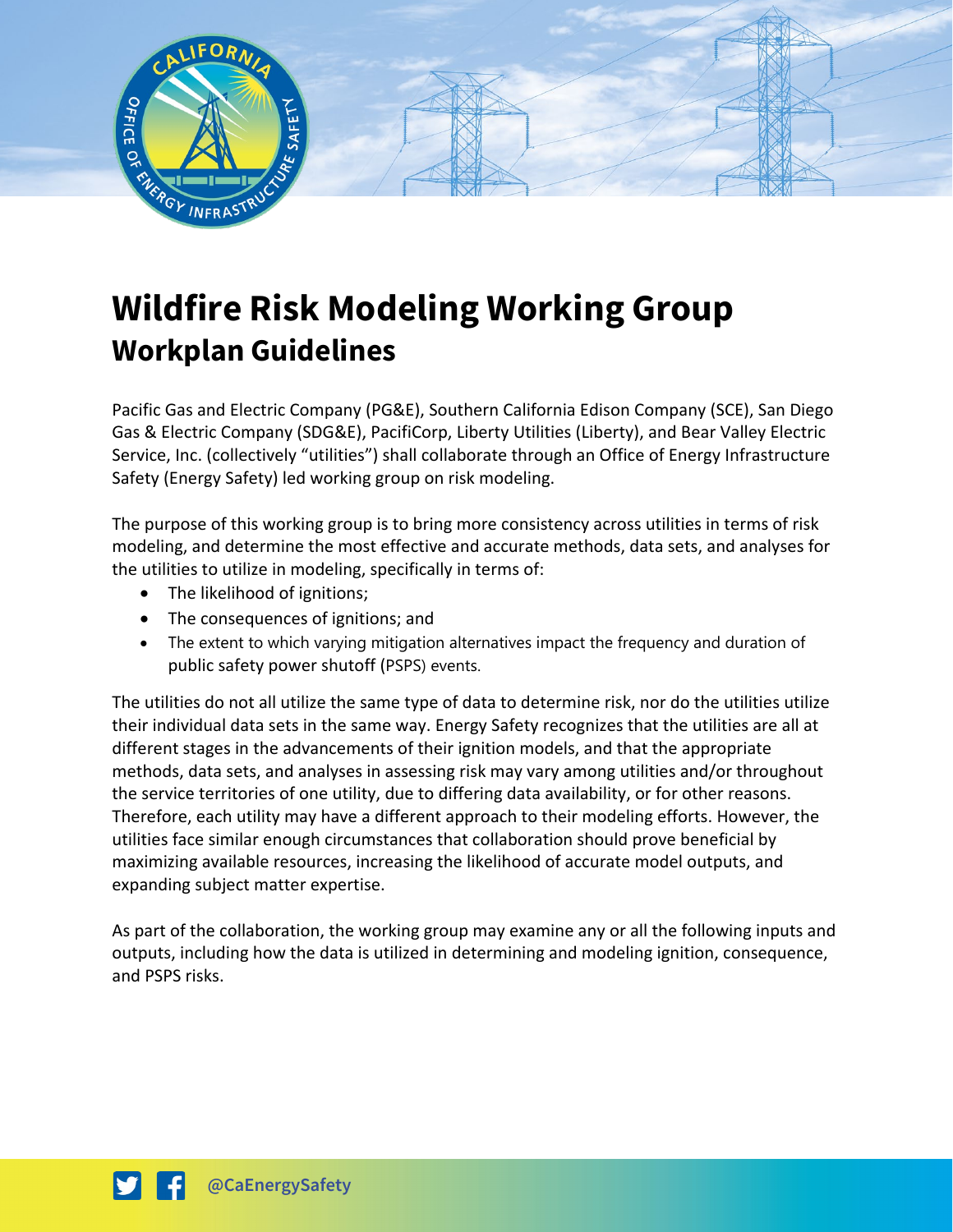

## **Wildfire Risk Modeling Working Group Workplan Guidelines**

Pacific Gas and Electric Company (PG&E), Southern California Edison Company (SCE), San Diego Gas & Electric Company (SDG&E), PacifiCorp, Liberty Utilities (Liberty), and Bear Valley Electric Service, Inc. (collectively "utilities") shall collaborate through an Office of Energy Infrastructure Safety (Energy Safety) led working group on risk modeling.

The purpose of this working group is to bring more consistency across utilities in terms of risk modeling, and determine the most effective and accurate methods, data sets, and analyses for the utilities to utilize in modeling, specifically in terms of:

- The likelihood of ignitions;
- The consequences of ignitions; and
- The extent to which varying mitigation alternatives impact the frequency and duration of public safety power shutoff (PSPS) events.

The utilities do not all utilize the same type of data to determine risk, nor do the utilities utilize their individual data sets in the same way. Energy Safety recognizes that the utilities are all at different stages in the advancements of their ignition models, and that the appropriate methods, data sets, and analyses in assessing risk may vary among utilities and/or throughout the service territories of one utility, due to differing data availability, or for other reasons. Therefore, each utility may have a different approach to their modeling efforts. However, the utilities face similar enough circumstances that collaboration should prove beneficial by maximizing available resources, increasing the likelihood of accurate model outputs, and expanding subject matter expertise.

As part of the collaboration, the working group may examine any or all the following inputs and outputs, including how the data is utilized in determining and modeling ignition, consequence, and PSPS risks.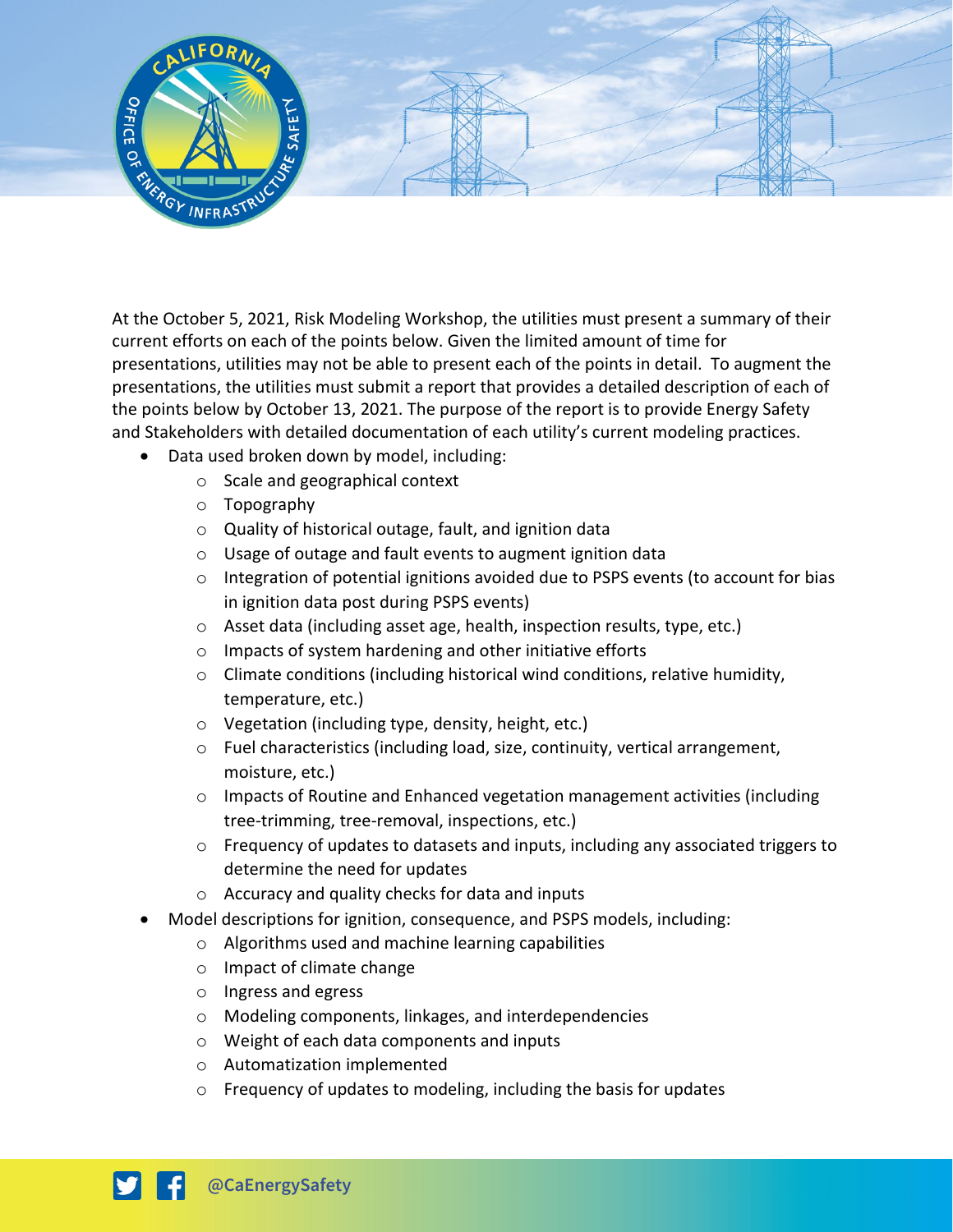

At the October 5, 2021, Risk Modeling Workshop, the utilities must present a summary of their current efforts on each of the points below. Given the limited amount of time for presentations, utilities may not be able to present each of the points in detail. To augment the presentations, the utilities must submit a report that provides a detailed description of each of the points below by October 13, 2021. The purpose of the report is to provide Energy Safety and Stakeholders with detailed documentation of each utility's current modeling practices.

- Data used broken down by model, including:
	- o Scale and geographical context
	- o Topography
	- o Quality of historical outage, fault, and ignition data
	- o Usage of outage and fault events to augment ignition data
	- $\circ$  Integration of potential ignitions avoided due to PSPS events (to account for bias in ignition data post during PSPS events)
	- o Asset data (including asset age, health, inspection results, type, etc.)
	- o Impacts of system hardening and other initiative efforts
	- o Climate conditions (including historical wind conditions, relative humidity, temperature, etc.)
	- o Vegetation (including type, density, height, etc.)
	- o Fuel characteristics (including load, size, continuity, vertical arrangement, moisture, etc.)
	- $\circ$  Impacts of Routine and Enhanced vegetation management activities (including tree-trimming, tree-removal, inspections, etc.)
	- $\circ$  Frequency of updates to datasets and inputs, including any associated triggers to determine the need for updates
	- o Accuracy and quality checks for data and inputs
- Model descriptions for ignition, consequence, and PSPS models, including:
	- o Algorithms used and machine learning capabilities
	- o Impact of climate change
	- o Ingress and egress
	- o Modeling components, linkages, and interdependencies
	- o Weight of each data components and inputs
	- o Automatization implemented
	- o Frequency of updates to modeling, including the basis for updates